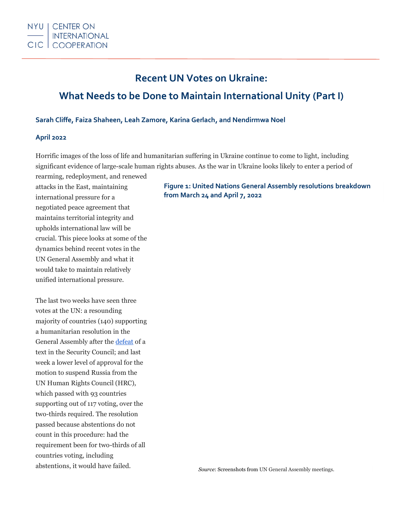

## **Recent UN Votes on Ukraine:**

# **What Needs to be Done to Maintain International Unity (Part I)**

#### **Sarah Cliffe, Faiza Shaheen, Leah Zamore, Karina Gerlach, and Nendirmwa Noel**

#### **April 2022**

Horrific images of the loss of life and humanitarian suffering in Ukraine continue to come to light, including significant evidence of large-scale human rights abuses. As the war in Ukraine looks likely to enter a period of

rearming, redeployment, and renewed attacks in the East, maintaining international pressure for a negotiated peace agreement that maintains territorial integrity and upholds international law will be crucial. This piece looks at some of the dynamics behind recent votes in the UN General Assembly and what it would take to maintain relatively unified international pressure.

The last two weeks have seen three votes at the UN: a resounding majority of countries (140) supporting a humanitarian resolution in the General Assembly after th[e defeat](https://www.securitycouncilreport.org/whatsinblue/2022/03/ukraine-vote-on-draft-humanitarian-resolution.php) of a text in the Security Council; and last week a lower level of approval for the motion to suspend Russia from the UN Human Rights Council (HRC), which passed with 93 countries supporting out of 117 voting, over the two-thirds required. The resolution passed because abstentions do not count in this procedure: had the requirement been for two-thirds of all countries voting, including abstentions, it would have failed.

#### **Figure 1: United Nations General Assembly resolutions breakdown from March 24 and April 7, 2022**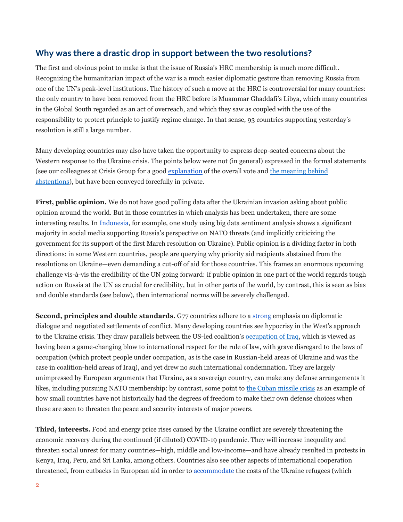### **Why was there a drastic drop in support between the two resolutions?**

The first and obvious point to make is that the issue of Russia's HRC membership is much more difficult. Recognizing the humanitarian impact of the war is a much easier diplomatic gesture than removing Russia from one of the UN's peak-level institutions. The history of such a move at the HRC is controversial for many countries: the only country to have been removed from the HRC before is Muammar Ghaddafi's Libya, which many countries in the Global South regarded as an act of overreach, and which they saw as coupled with the use of the responsibility to protect principle to justify regime change. In that sense, 93 countries supporting yesterday's resolution is still a large number.

Many developing countries may also have taken the opportunity to express deep-seated concerns about the Western response to the Ukraine crisis. The points below were not (in general) expressed in the formal statements (see our colleagues at Crisis Group for a goo[d explanation](https://www.crisisgroup.org/europe-central-asia/eastern-europe/ukraine/maintaining-coalition-support-ukraine-un) of the overall vote and [the meaning behind](https://www.worldpoliticsreview.com/articles/30452/at-the-un-ukraine-war-abstentions-aren-t-all-equal)  [abstentions\)](https://www.worldpoliticsreview.com/articles/30452/at-the-un-ukraine-war-abstentions-aren-t-all-equal), but have been conveyed forcefully in private.

**First, public opinion.** We do not have good polling data after the Ukrainian invasion asking about public opinion around the world. But in those countries in which analysis has been undertaken, there are some interesting results. In [Indonesia,](https://www.bbc.com/indonesia/indonesia-60737298) for example, one study using big data sentiment analysis shows a significant majority in social media supporting Russia's perspective on NATO threats (and implicitly criticizing the government for its support of the first March resolution on Ukraine). Public opinion is a dividing factor in both directions: in some Western countries, people are querying why priority aid recipients abstained from the resolutions on Ukraine—even demanding a cut-off of aid for those countries. This frames an enormous upcoming challenge vis-à-vis the credibility of the UN going forward: if public opinion in one part of the world regards tough action on Russia at the UN as crucial for credibility, but in other parts of the world, by contrast, this is seen as bias and double standards (see below), then international norms will be severely challenged.

**Second, principles and double standards.** G77 countries adhere to [a strong](https://www.youtube.com/watch?v=mLuMhUo37tg) emphasis on diplomatic dialogue and negotiated settlements of conflict. Many developing countries see hypocrisy in the West's approach to the Ukraine crisis. They draw parallels between the US-led coalition's [occupation of Iraq,](file:///C:/Users/symphonychau/Dropbox%20(CIC)/CIC%20Comms%20NEW/5_Publications-Marketing/4_Monthly%20Advances/2022/4-April/Look%20at%20best%20hyperlink%20–%20suggest%20this%20but%20there%20may%20be%20better%20https:/www.aljazeera.com/news/2022/2/27/as-russia-invades-ukraine-iraqis-remember-painful-war-memories) which is viewed as having been a game-changing blow to international respect for the rule of law, with grave disregard to the laws of occupation (which protect people under occupation, as is the case in Russian-held areas of Ukraine and was the case in coalition-held areas of Iraq), and yet drew no such international condemnation. They are largely unimpressed by European arguments that Ukraine, as a sovereign country, can make any defense arrangements it likes, including pursuing NATO membership: by contrast, [some](https://www.thedailystar.net/law-our-rights/news/why-bangladeshs-abstention-the-un-resolution-the-ukraine-war-justified-2990706) point to [the Cuban missile crisis](https://www.thedailystar.net/law-our-rights/news/why-bangladeshs-abstention-the-un-resolution-the-ukraine-war-justified-2990706) as an example of how small countries have not historically had the degrees of freedom to make their own defense choices when these are seen to threaten the peace and security interests of major powers.

**Third, interests.** Food and energy price rises caused by the Ukraine conflict are severely threatening the economic recovery during the continued (if diluted) COVID-19 pandemic. They will increase inequality and threaten social unrest for many countries—high, middle and low-income—and have already resulted in protests in [Kenya,](https://www.africanews.com/2022/02/22/kenyans-protest-surge-in-food-prices/) [Iraq,](https://www.aljazeera.com/news/2022/3/9/iraq-protest-food-prices-russia-ukraine-war) [Peru,](https://www.reuters.com/world/americas/peruvians-protest-surging-gas-fertilizer-prices-amid-ukraine-invasion-2022-04-05/) an[d Sri Lanka,](https://time.com/6164058/sri-lanka-protests-curfew/) among others. Countries also see other aspects of international cooperation threatened, from cutbacks in European aid in order to [accommodate](https://www.oxfam.org/en/press-releases/some-governments-contemplating-raids-aid-funds-earmarked-other-crises-pay-new-costs) the costs of the Ukraine refugees (which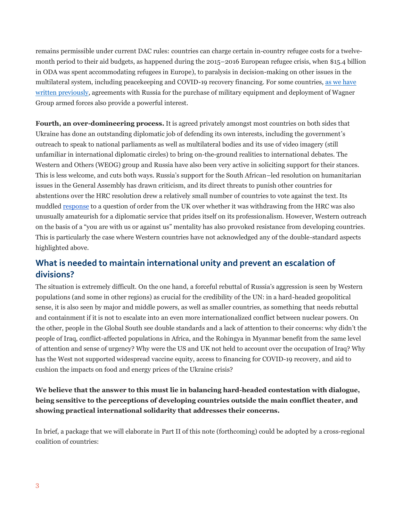remains [permissible under current DAC rules:](https://www.oecd.org/dac/financing-sustainable-development/development-finance-standards/refugee-costs-oda.htm) countries can charge certain in-country refugee costs for a twelvemonth period to their aid budgets, as happened during the 2015–2016 European refugee crisis, when [\\$15.4 billion](https://www.thenewhumanitarian.org/investigations/2017/07/21/aid-credibility-stake-donors-haggle-over-reporting-rules)  [in ODA was spent accommodating refugees in Europe\)](https://www.thenewhumanitarian.org/investigations/2017/07/21/aid-credibility-stake-donors-haggle-over-reporting-rules), to paralysis in decision-making on other issues in the multilateral system, including peacekeeping and COVID-19 recovery financing. For some countries, as we have [written previously,](https://cic.nyu.edu/publications/blowback-russia%E2%80%99s-invasion-ukraine) agreements with Russia for the purchase of military equipment and deployment of Wagner Group armed forces also provide a powerful interest.

**Fourth, an over-domineering process.** It is agreed privately amongst most countries on both sides that Ukraine has done an outstanding diplomatic job of defending its own interests, including the government's outreach to speak to national parliaments as well as multilateral bodies and its use of video imagery (still unfamiliar in international diplomatic circles) to bring on-the-ground realities to international debates. The Western and Others (WEOG) group and Russia have also been very active in soliciting support for their stances. This is less welcome, and cuts both ways. Russia's support for the South African–led resolution on humanitarian issues in the General Assembly has drawn criticism, and its direct threats to punish other countries for abstentions over the HRC resolution drew a relatively small number of countries to vote against the text. Its muddled [response](https://www.youtube.com/watch?v=2gRYXXd0Wu8) to a question of order from the UK over whether it was withdrawing from the HRC was also unusually amateurish for a diplomatic service that prides itself on its professionalism. However, Western outreach on the basis of a "you are with us or against us" mentality has also provoked resistance from developing countries. This is particularly the case where Western countries have not acknowledged any of the double-standard aspects highlighted above.

### **What is needed to maintain international unity and prevent an escalation of divisions?**

The situation is extremely difficult. On the one hand, a forceful rebuttal of Russia's aggression is seen by Western populations (and some in other regions) as crucial for the credibility of the UN: in a hard-headed geopolitical sense, it is also seen by major and middle powers, as well as smaller countries, as something that needs rebuttal and containment if it is not to escalate into an even more internationalized conflict between nuclear powers. On the other, people in the Global South see double standards and a lack of attention to their concerns: why didn't the people of Iraq, conflict-affected populations in Africa, and the Rohingya in Myanmar benefit from the same level of attention and sense of urgency? Why were the US and UK not held to account over the occupation of Iraq? Why has the West not supported widespread vaccine equity, access to financing for COVID-19 recovery, and aid to cushion the impacts on food and energy prices of the Ukraine crisis?

### **We believe that the answer to this must lie in balancing hard-headed contestation with dialogue, being sensitive to the perceptions of developing countries outside the main conflict theater, and showing practical international solidarity that addresses their concerns.**

In brief, a package that we will elaborate in Part II of this note (forthcoming) could be adopted by a cross-regional coalition of countries: